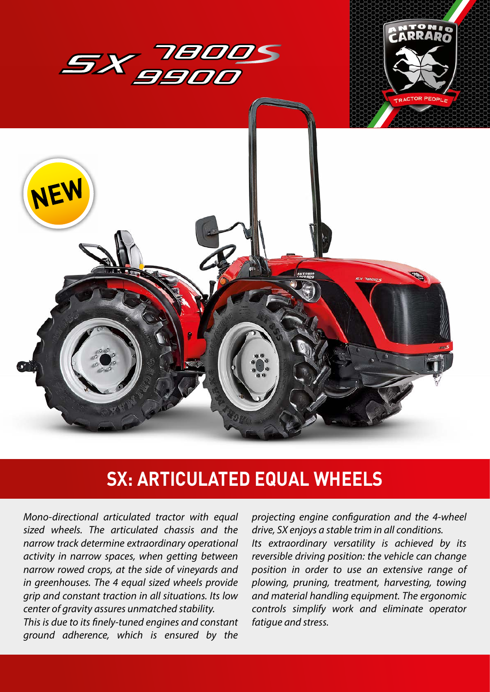

## **SX: ARTICULATED EQUAL WHEELS**

*Mono-directional articulated tractor with equal sized wheels. The articulated chassis and the narrow track determine extraordinary operational activity in narrow spaces, when getting between narrow rowed crops, at the side of vineyards and in greenhouses. The 4 equal sized wheels provide grip and constant traction in all situations. Its low center of gravity assures unmatched stability. This is due to its finely-tuned engines and constant ground adherence, which is ensured by the*  *projecting engine configuration and the 4-wheel drive, SX enjoys a stable trim in all conditions. Its extraordinary versatility is achieved by its reversible driving position: the vehicle can change position in order to use an extensive range of plowing, pruning, treatment, harvesting, towing and material handling equipment. The ergonomic controls simplify work and eliminate operator fatigue and stress.*